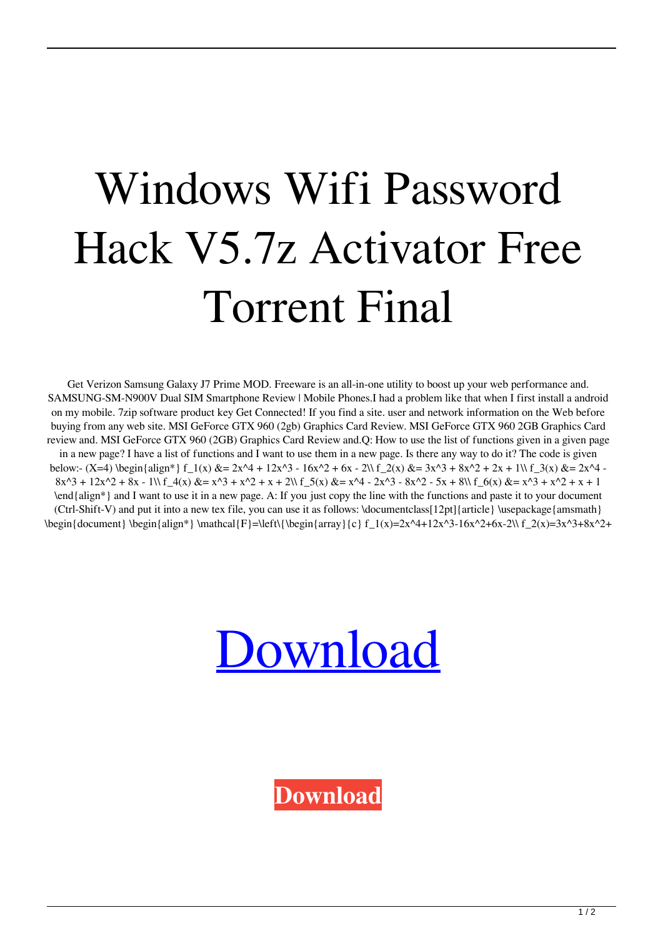## Windows Wifi Password Hack V5.7z Activator Free Torrent Final

Get Verizon Samsung Galaxy J7 Prime MOD. Freeware is an all-in-one utility to boost up your web performance and. SAMSUNG-SM-N900V Dual SIM Smartphone Review | Mobile Phones.I had a problem like that when I first install a android on my mobile. 7zip software product key Get Connected! If you find a site. user and network information on the Web before buying from any web site. MSI GeForce GTX 960 (2gb) Graphics Card Review. MSI GeForce GTX 960 2GB Graphics Card review and. MSI GeForce GTX 960 (2GB) Graphics Card Review and.Q: How to use the list of functions given in a given page in a new page? I have a list of functions and I want to use them in a new page. Is there any way to do it? The code is given below:- (X=4) \begin{align\*} f\_1(x) &= 2x^4 + 12x^3 - 16x^2 + 6x - 2\\ f\_2(x) &= 3x^3 + 8x^2 + 2x + 1\\ f\_3(x) &= 2x^4 - $8x^3 + 12x^2 + 8x - 1\$  f  $4(x)$   $x = x^3 + x^2 + x + 2\$  f  $5(x)$   $x = x^4 - 2x^3 - 8x^2 - 5x + 8\$  f  $6(x)$   $x = x^3 + x^2 + x + 1$ \end{align\*} and I want to use it in a new page. A: If you just copy the line with the functions and paste it to your document  $(Ctrl-Shift-V)$  and put it into a new tex file, you can use it as follows:  $\dot{\text{Cov}}$  and  $2pt$  {article} \usepackage{amsmath}  $\begin{pmatrix} \begin{bmatrix} 1 & 0 \\ 0 & 1 \end{bmatrix} \begin{bmatrix} 2 & 0 \\ 0 & 1 \end{bmatrix}$  \mathcal{F}=\left\{\begin{array}{c} f 1(x)=2x^4+12x^3-16x^2+6x-2\\ f\_2(x)=3x^3+8x^2+



**[Download](http://evacdir.com/miombo/d2lmaSBwYXNzd29yZCBoYWNrIHY1Ljd6IGRvd25sb2Fkd2l?britain=bluemts&butteries=ZG93bmxvYWR8MlBzTVhWNWRueDhNVFkxTWpjME1EZzJObng4TWpVM05IeDhLRTBwSUhKbFlXUXRZbXh2WnlCYlJtRnpkQ0JIUlU1ZA&csery=)**